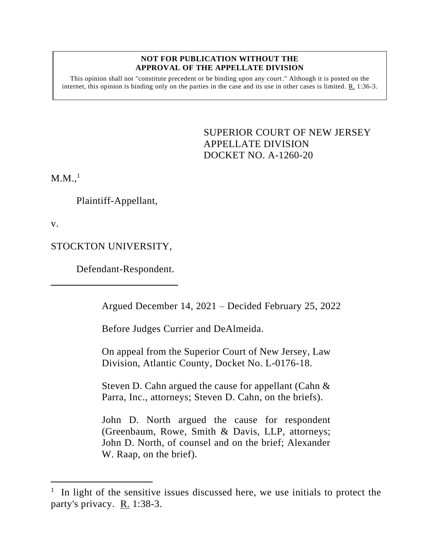## **NOT FOR PUBLICATION WITHOUT THE APPROVAL OF THE APPELLATE DIVISION**

This opinion shall not "constitute precedent or be binding upon any court." Although it is posted on the internet, this opinion is binding only on the parties in the case and its use in other cases is limited.  $R_1$  1:36-3.

> <span id="page-0-0"></span>SUPERIOR COURT OF NEW JERSEY APPELLATE DIVISION DOCKET NO. A-1260-20

 $M.M.,<sup>1</sup>$ 

Plaintiff-Appellant,

v.

STOCKTON UNIVERSITY,

Defendant-Respondent.

Argued December 14, 2021 – Decided February 25, 2022

Before Judges Currier and DeAlmeida.

On appeal from the Superior Court of New Jersey, Law Division, Atlantic County, Docket No. L-0176-18.

Steven D. Cahn argued the cause for appellant (Cahn & Parra, Inc., attorneys; Steven D. Cahn, on the briefs).

John D. North argued the cause for respondent (Greenbaum, Rowe, Smith & Davis, LLP, attorneys; John D. North, of counsel and on the brief; Alexander W. Raap, on the brief).

<sup>&</sup>lt;sup>1</sup> In light of the sensitive issues discussed here, we use initials to protect the party's privacy. R. 1:38-3.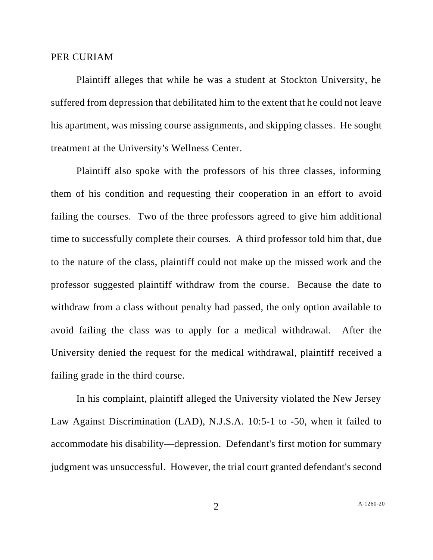## PER CURIAM

Plaintiff alleges that while he was a student at Stockton University, he suffered from depression that debilitated him to the extent that he could not leave his apartment, was missing course assignments, and skipping classes. He sought treatment at the University's Wellness Center.

Plaintiff also spoke with the professors of his three classes, informing them of his condition and requesting their cooperation in an effort to avoid failing the courses. Two of the three professors agreed to give him additional time to successfully complete their courses. A third professor told him that, due to the nature of the class, plaintiff could not make up the missed work and the professor suggested plaintiff withdraw from the course. Because the date to withdraw from a class without penalty had passed, the only option available to avoid failing the class was to apply for a medical withdrawal. After the University denied the request for the medical withdrawal, plaintiff received a failing grade in the third course.

In his complaint, plaintiff alleged the University violated the New Jersey Law Against Discrimination (LAD), N.J.S.A. 10:5-1 to -50, when it failed to accommodate his disability—depression. Defendant's first motion for summary judgment was unsuccessful. However, the trial court granted defendant's second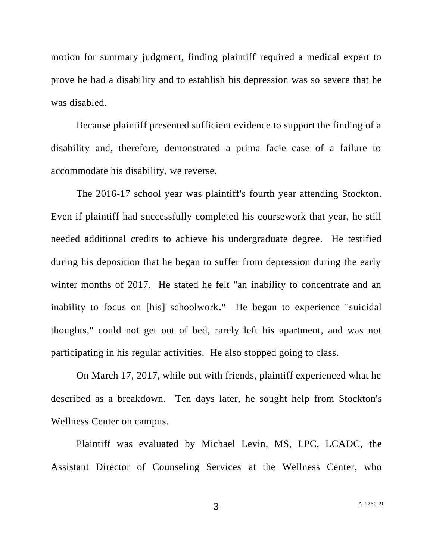motion for summary judgment, finding plaintiff required a medical expert to prove he had a disability and to establish his depression was so severe that he was disabled.

Because plaintiff presented sufficient evidence to support the finding of a disability and, therefore, demonstrated a prima facie case of a failure to accommodate his disability, we reverse.

The 2016-17 school year was plaintiff's fourth year attending Stockton. Even if plaintiff had successfully completed his coursework that year, he still needed additional credits to achieve his undergraduate degree. He testified during his deposition that he began to suffer from depression during the early winter months of 2017. He stated he felt "an inability to concentrate and an inability to focus on [his] schoolwork." He began to experience "suicidal thoughts," could not get out of bed, rarely left his apartment, and was not participating in his regular activities. He also stopped going to class.

On March 17, 2017, while out with friends, plaintiff experienced what he described as a breakdown. Ten days later, he sought help from Stockton's Wellness Center on campus.

Plaintiff was evaluated by Michael Levin, MS, LPC, LCADC, the Assistant Director of Counseling Services at the Wellness Center, who

3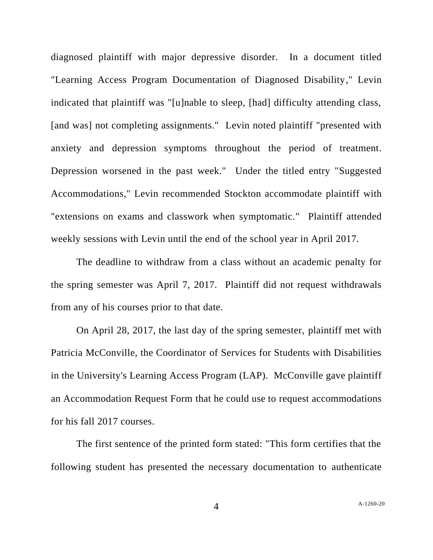diagnosed plaintiff with major depressive disorder. In a document titled "Learning Access Program Documentation of Diagnosed Disability," Levin indicated that plaintiff was "[u]nable to sleep, [had] difficulty attending class, [and was] not completing assignments." Levin noted plaintiff "presented with anxiety and depression symptoms throughout the period of treatment. Depression worsened in the past week." Under the titled entry "Suggested Accommodations," Levin recommended Stockton accommodate plaintiff with "extensions on exams and classwork when symptomatic." Plaintiff attended weekly sessions with Levin until the end of the school year in April 2017.

The deadline to withdraw from a class without an academic penalty for the spring semester was April 7, 2017. Plaintiff did not request withdrawals from any of his courses prior to that date.

On April 28, 2017, the last day of the spring semester, plaintiff met with Patricia McConville, the Coordinator of Services for Students with Disabilities in the University's Learning Access Program (LAP). McConville gave plaintiff an Accommodation Request Form that he could use to request accommodations for his fall 2017 courses.

The first sentence of the printed form stated: "This form certifies that the following student has presented the necessary documentation to authenticate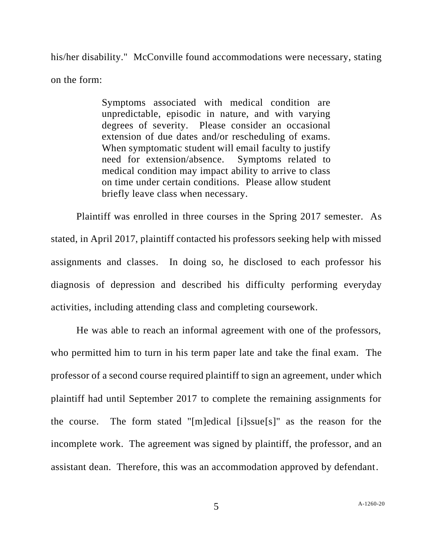his/her disability." McConville found accommodations were necessary, stating on the form:

> Symptoms associated with medical condition are unpredictable, episodic in nature, and with varying degrees of severity. Please consider an occasional extension of due dates and/or rescheduling of exams. When symptomatic student will email faculty to justify need for extension/absence. Symptoms related to medical condition may impact ability to arrive to class on time under certain conditions. Please allow student briefly leave class when necessary.

Plaintiff was enrolled in three courses in the Spring 2017 semester. As stated, in April 2017, plaintiff contacted his professors seeking help with missed assignments and classes. In doing so, he disclosed to each professor his diagnosis of depression and described his difficulty performing everyday activities, including attending class and completing coursework.

He was able to reach an informal agreement with one of the professors, who permitted him to turn in his term paper late and take the final exam. The professor of a second course required plaintiff to sign an agreement, under which plaintiff had until September 2017 to complete the remaining assignments for the course. The form stated "[m]edical [i]ssue[s]" as the reason for the incomplete work. The agreement was signed by plaintiff, the professor, and an assistant dean. Therefore, this was an accommodation approved by defendant.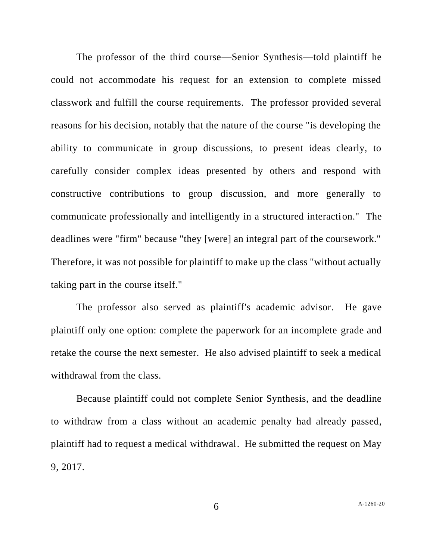The professor of the third course—Senior Synthesis—told plaintiff he could not accommodate his request for an extension to complete missed classwork and fulfill the course requirements. The professor provided several reasons for his decision, notably that the nature of the course "is developing the ability to communicate in group discussions, to present ideas clearly, to carefully consider complex ideas presented by others and respond with constructive contributions to group discussion, and more generally to communicate professionally and intelligently in a structured interaction." The deadlines were "firm" because "they [were] an integral part of the coursework." Therefore, it was not possible for plaintiff to make up the class "without actually taking part in the course itself."

The professor also served as plaintiff's academic advisor. He gave plaintiff only one option: complete the paperwork for an incomplete grade and retake the course the next semester. He also advised plaintiff to seek a medical withdrawal from the class.

Because plaintiff could not complete Senior Synthesis, and the deadline to withdraw from a class without an academic penalty had already passed, plaintiff had to request a medical withdrawal. He submitted the request on May 9, 2017.

6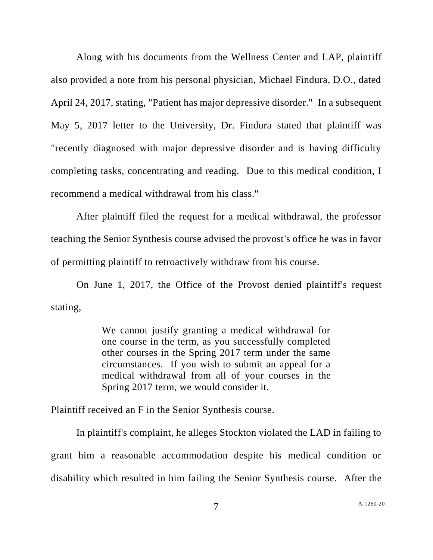Along with his documents from the Wellness Center and LAP, plaintiff also provided a note from his personal physician, Michael Findura, D.O., dated April 24, 2017, stating, "Patient has major depressive disorder." In a subsequent May 5, 2017 letter to the University, Dr. Findura stated that plaintiff was "recently diagnosed with major depressive disorder and is having difficulty completing tasks, concentrating and reading. Due to this medical condition, I recommend a medical withdrawal from his class."

After plaintiff filed the request for a medical withdrawal, the professor teaching the Senior Synthesis course advised the provost's office he was in favor of permitting plaintiff to retroactively withdraw from his course.

On June 1, 2017, the Office of the Provost denied plaintiff's request stating,

> We cannot justify granting a medical withdrawal for one course in the term, as you successfully completed other courses in the Spring 2017 term under the same circumstances. If you wish to submit an appeal for a medical withdrawal from all of your courses in the Spring 2017 term, we would consider it.

Plaintiff received an F in the Senior Synthesis course.

In plaintiff's complaint, he alleges Stockton violated the LAD in failing to grant him a reasonable accommodation despite his medical condition or disability which resulted in him failing the Senior Synthesis course. After the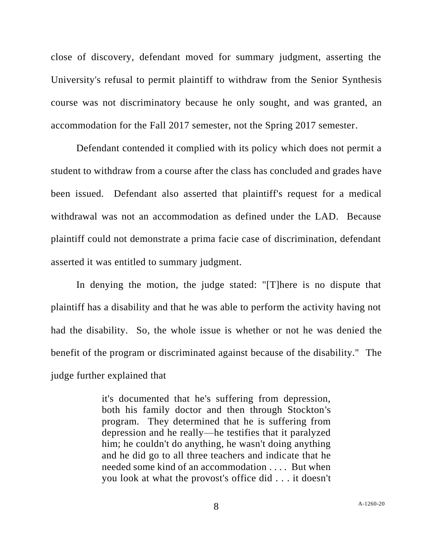close of discovery, defendant moved for summary judgment, asserting the University's refusal to permit plaintiff to withdraw from the Senior Synthesis course was not discriminatory because he only sought, and was granted, an accommodation for the Fall 2017 semester, not the Spring 2017 semester.

Defendant contended it complied with its policy which does not permit a student to withdraw from a course after the class has concluded and grades have been issued. Defendant also asserted that plaintiff's request for a medical withdrawal was not an accommodation as defined under the LAD. Because plaintiff could not demonstrate a prima facie case of discrimination, defendant asserted it was entitled to summary judgment.

In denying the motion, the judge stated: "[T]here is no dispute that plaintiff has a disability and that he was able to perform the activity having not had the disability. So, the whole issue is whether or not he was denied the benefit of the program or discriminated against because of the disability." The judge further explained that

> it's documented that he's suffering from depression, both his family doctor and then through Stockton's program. They determined that he is suffering from depression and he really—he testifies that it paralyzed him; he couldn't do anything, he wasn't doing anything and he did go to all three teachers and indicate that he needed some kind of an accommodation . . . . But when you look at what the provost's office did . . . it doesn't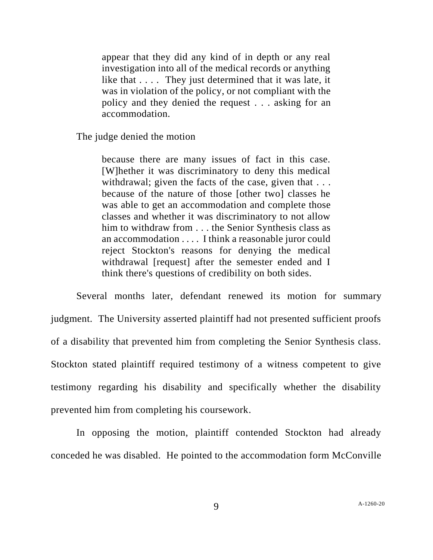appear that they did any kind of in depth or any real investigation into all of the medical records or anything like that . . . . They just determined that it was late, it was in violation of the policy, or not compliant with the policy and they denied the request . . . asking for an accommodation.

The judge denied the motion

because there are many issues of fact in this case. [W]hether it was discriminatory to deny this medical withdrawal; given the facts of the case, given that ... because of the nature of those [other two] classes he was able to get an accommodation and complete those classes and whether it was discriminatory to not allow him to withdraw from . . . the Senior Synthesis class as an accommodation . . . . I think a reasonable juror could reject Stockton's reasons for denying the medical withdrawal [request] after the semester ended and I think there's questions of credibility on both sides.

Several months later, defendant renewed its motion for summary judgment. The University asserted plaintiff had not presented sufficient proofs of a disability that prevented him from completing the Senior Synthesis class. Stockton stated plaintiff required testimony of a witness competent to give testimony regarding his disability and specifically whether the disability prevented him from completing his coursework.

In opposing the motion, plaintiff contended Stockton had already conceded he was disabled. He pointed to the accommodation form McConville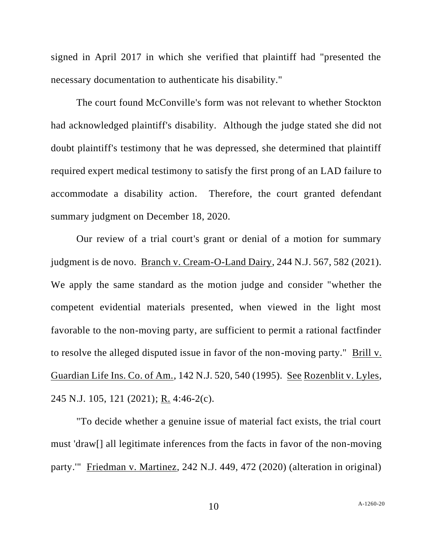signed in April 2017 in which she verified that plaintiff had "presented the necessary documentation to authenticate his disability."

The court found McConville's form was not relevant to whether Stockton had acknowledged plaintiff's disability. Although the judge stated she did not doubt plaintiff's testimony that he was depressed, she determined that plaintiff required expert medical testimony to satisfy the first prong of an LAD failure to accommodate a disability action. Therefore, the court granted defendant summary judgment on December 18, 2020.

Our review of a trial court's grant or denial of a motion for summary judgment is de novo. Branch v. Cream-O-Land Dairy, 244 N.J. 567, 582 (2021). We apply the same standard as the motion judge and consider "whether the competent evidential materials presented, when viewed in the light most favorable to the non-moving party, are sufficient to permit a rational factfinder to resolve the alleged disputed issue in favor of the non-moving party." Brill v. Guardian Life Ins. Co. of Am., 142 N.J. 520, 540 (1995). See Rozenblit v. Lyles, 245 N.J. 105, 121 (2021); R. 4:46-2(c).

"To decide whether a genuine issue of material fact exists, the trial court must 'draw[] all legitimate inferences from the facts in favor of the non-moving party.'" Friedman v. Martinez, 242 N.J. 449, 472 (2020) (alteration in original)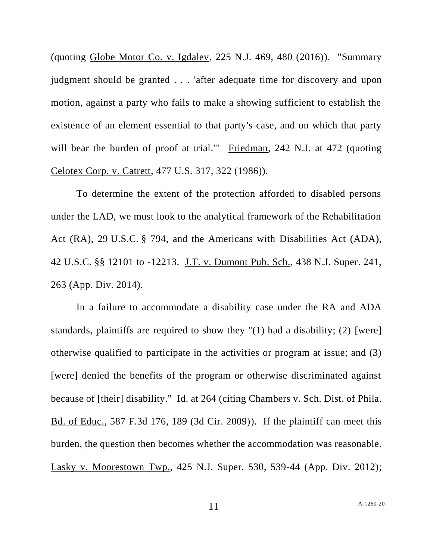(quoting Globe Motor Co. v. Igdalev, 225 N.J. 469, 480 (2016)). "Summary judgment should be granted . . . 'after adequate time for discovery and upon motion, against a party who fails to make a showing sufficient to establish the existence of an element essential to that party's case, and on which that party will bear the burden of proof at trial." Friedman, 242 N.J. at 472 (quoting Celotex Corp. v. Catrett, 477 U.S. 317, 322 (1986)).

To determine the extent of the protection afforded to disabled persons under the LAD, we must look to the analytical framework of the Rehabilitation Act (RA), 29 U.S.C. § 794, and the Americans with Disabilities Act (ADA), 42 U.S.C. §§ 12101 to -12213. J.T. v. Dumont Pub. Sch., 438 N.J. Super. 241, 263 (App. Div. 2014).

In a failure to accommodate a disability case under the RA and ADA standards, plaintiffs are required to show they "(1) had a disability; (2) [were] otherwise qualified to participate in the activities or program at issue; and (3) [were] denied the benefits of the program or otherwise discriminated against because of [their] disability." Id. at 264 (citing Chambers v. Sch. Dist. of Phila. Bd. of Educ., 587 F.3d 176, 189 (3d Cir. 2009)). If the plaintiff can meet this burden, the question then becomes whether the accommodation was reasonable. Lasky v. Moorestown Twp., 425 N.J. Super. 530, 539-44 (App. Div. 2012);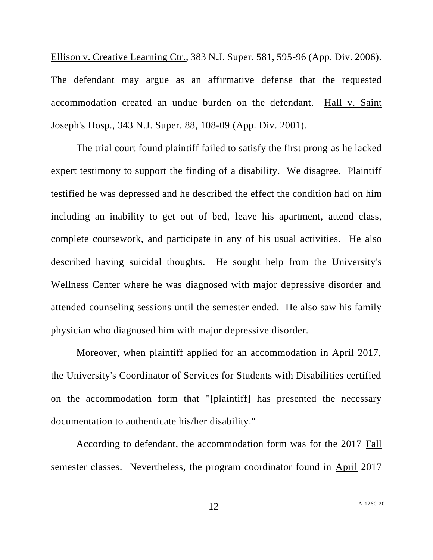Ellison v. Creative Learning Ctr., 383 N.J. Super. 581, 595-96 (App. Div. 2006). The defendant may argue as an affirmative defense that the requested accommodation created an undue burden on the defendant. Hall v. Saint Joseph's Hosp., 343 N.J. Super. 88, 108-09 (App. Div. 2001).

The trial court found plaintiff failed to satisfy the first prong as he lacked expert testimony to support the finding of a disability. We disagree. Plaintiff testified he was depressed and he described the effect the condition had on him including an inability to get out of bed, leave his apartment, attend class, complete coursework, and participate in any of his usual activities. He also described having suicidal thoughts. He sought help from the University's Wellness Center where he was diagnosed with major depressive disorder and attended counseling sessions until the semester ended. He also saw his family physician who diagnosed him with major depressive disorder.

Moreover, when plaintiff applied for an accommodation in April 2017, the University's Coordinator of Services for Students with Disabilities certified on the accommodation form that "[plaintiff] has presented the necessary documentation to authenticate his/her disability."

According to defendant, the accommodation form was for the 2017 Fall semester classes. Nevertheless, the program coordinator found in April 2017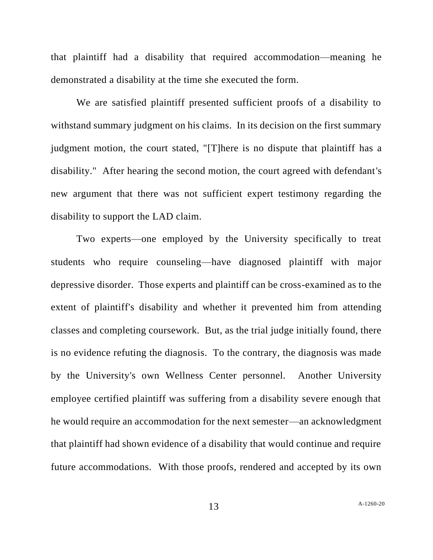that plaintiff had a disability that required accommodation—meaning he demonstrated a disability at the time she executed the form.

We are satisfied plaintiff presented sufficient proofs of a disability to withstand summary judgment on his claims. In its decision on the first summary judgment motion, the court stated, "[T]here is no dispute that plaintiff has a disability." After hearing the second motion, the court agreed with defendant's new argument that there was not sufficient expert testimony regarding the disability to support the LAD claim.

Two experts—one employed by the University specifically to treat students who require counseling—have diagnosed plaintiff with major depressive disorder. Those experts and plaintiff can be cross-examined as to the extent of plaintiff's disability and whether it prevented him from attending classes and completing coursework. But, as the trial judge initially found, there is no evidence refuting the diagnosis. To the contrary, the diagnosis was made by the University's own Wellness Center personnel. Another University employee certified plaintiff was suffering from a disability severe enough that he would require an accommodation for the next semester—an acknowledgment that plaintiff had shown evidence of a disability that would continue and require future accommodations. With those proofs, rendered and accepted by its own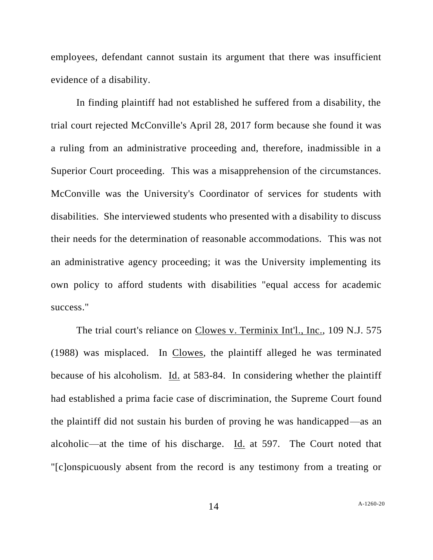employees, defendant cannot sustain its argument that there was insufficient evidence of a disability.

In finding plaintiff had not established he suffered from a disability, the trial court rejected McConville's April 28, 2017 form because she found it was a ruling from an administrative proceeding and, therefore, inadmissible in a Superior Court proceeding. This was a misapprehension of the circumstances. McConville was the University's Coordinator of services for students with disabilities. She interviewed students who presented with a disability to discuss their needs for the determination of reasonable accommodations. This was not an administrative agency proceeding; it was the University implementing its own policy to afford students with disabilities "equal access for academic success."

The trial court's reliance on Clowes v. Terminix Int'l., Inc., 109 N.J. 575 (1988) was misplaced. In Clowes, the plaintiff alleged he was terminated because of his alcoholism. Id. at 583-84. In considering whether the plaintiff had established a prima facie case of discrimination, the Supreme Court found the plaintiff did not sustain his burden of proving he was handicapped—as an alcoholic—at the time of his discharge. Id. at 597. The Court noted that "[c]onspicuously absent from the record is any testimony from a treating or